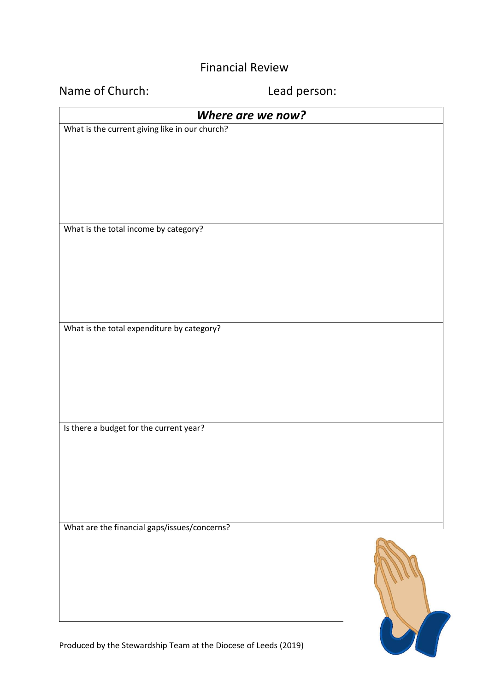## Financial Review

Name of Church: Lead person:

| Where are we now?                                              |  |
|----------------------------------------------------------------|--|
| What is the current giving like in our church?                 |  |
|                                                                |  |
|                                                                |  |
|                                                                |  |
|                                                                |  |
|                                                                |  |
|                                                                |  |
| What is the total income by category?                          |  |
|                                                                |  |
|                                                                |  |
|                                                                |  |
|                                                                |  |
|                                                                |  |
|                                                                |  |
| What is the total expenditure by category?                     |  |
|                                                                |  |
|                                                                |  |
|                                                                |  |
|                                                                |  |
|                                                                |  |
|                                                                |  |
|                                                                |  |
| Is there a budget for the current year?                        |  |
|                                                                |  |
|                                                                |  |
|                                                                |  |
|                                                                |  |
|                                                                |  |
|                                                                |  |
| What are the financial gaps/issues/concerns?                   |  |
|                                                                |  |
|                                                                |  |
|                                                                |  |
|                                                                |  |
|                                                                |  |
|                                                                |  |
|                                                                |  |
| roduced by the Stewardship Team at the Diocese of Leeds (2019) |  |
|                                                                |  |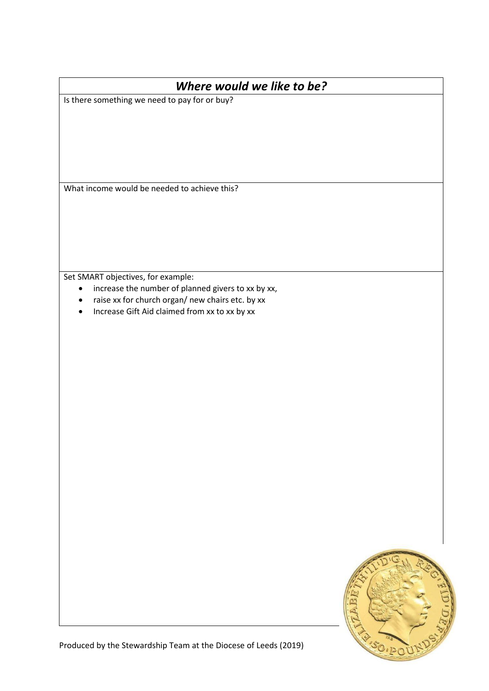| Where would we like to be?                                                                            |  |
|-------------------------------------------------------------------------------------------------------|--|
| Is there something we need to pay for or buy?                                                         |  |
|                                                                                                       |  |
|                                                                                                       |  |
|                                                                                                       |  |
|                                                                                                       |  |
| What income would be needed to achieve this?                                                          |  |
|                                                                                                       |  |
|                                                                                                       |  |
|                                                                                                       |  |
|                                                                                                       |  |
|                                                                                                       |  |
| Set SMART objectives, for example:<br>increase the number of planned givers to xx by xx,<br>$\bullet$ |  |
| raise xx for church organ/ new chairs etc. by xx<br>$\bullet$                                         |  |
| Increase Gift Aid claimed from xx to xx by xx                                                         |  |
|                                                                                                       |  |
|                                                                                                       |  |
|                                                                                                       |  |
|                                                                                                       |  |
|                                                                                                       |  |
|                                                                                                       |  |
|                                                                                                       |  |
|                                                                                                       |  |
|                                                                                                       |  |
|                                                                                                       |  |
|                                                                                                       |  |
|                                                                                                       |  |
|                                                                                                       |  |
|                                                                                                       |  |
|                                                                                                       |  |
|                                                                                                       |  |
|                                                                                                       |  |
|                                                                                                       |  |
|                                                                                                       |  |
| Produced by the Stewardship Team at the Diocese of Leeds (2019)                                       |  |
|                                                                                                       |  |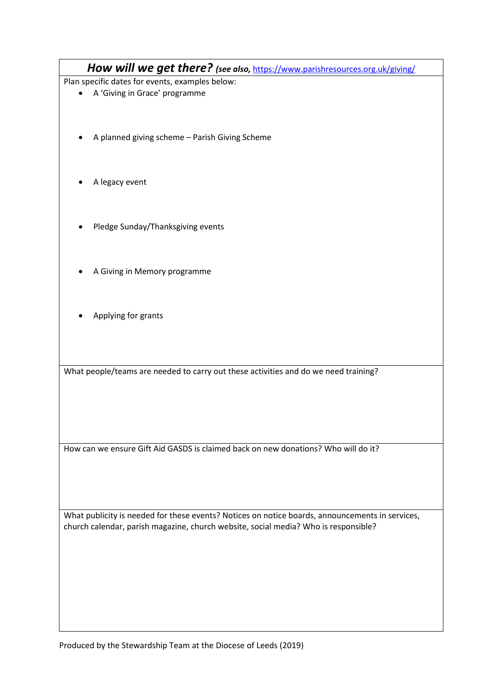| How will we get there? (see also, https://www.parishresources.org.uk/giving/                    |
|-------------------------------------------------------------------------------------------------|
| Plan specific dates for events, examples below:                                                 |
| A 'Giving in Grace' programme                                                                   |
|                                                                                                 |
|                                                                                                 |
| A planned giving scheme - Parish Giving Scheme                                                  |
|                                                                                                 |
|                                                                                                 |
|                                                                                                 |
| A legacy event                                                                                  |
|                                                                                                 |
|                                                                                                 |
| Pledge Sunday/Thanksgiving events                                                               |
|                                                                                                 |
|                                                                                                 |
| A Giving in Memory programme                                                                    |
|                                                                                                 |
|                                                                                                 |
|                                                                                                 |
| Applying for grants                                                                             |
|                                                                                                 |
|                                                                                                 |
|                                                                                                 |
| What people/teams are needed to carry out these activities and do we need training?             |
|                                                                                                 |
|                                                                                                 |
|                                                                                                 |
|                                                                                                 |
|                                                                                                 |
| How can we ensure Gift Aid GASDS is claimed back on new donations? Who will do it?              |
|                                                                                                 |
|                                                                                                 |
|                                                                                                 |
|                                                                                                 |
| What publicity is needed for these events? Notices on notice boards, announcements in services, |
| church calendar, parish magazine, church website, social media? Who is responsible?             |
|                                                                                                 |
|                                                                                                 |
|                                                                                                 |
|                                                                                                 |
|                                                                                                 |
|                                                                                                 |
|                                                                                                 |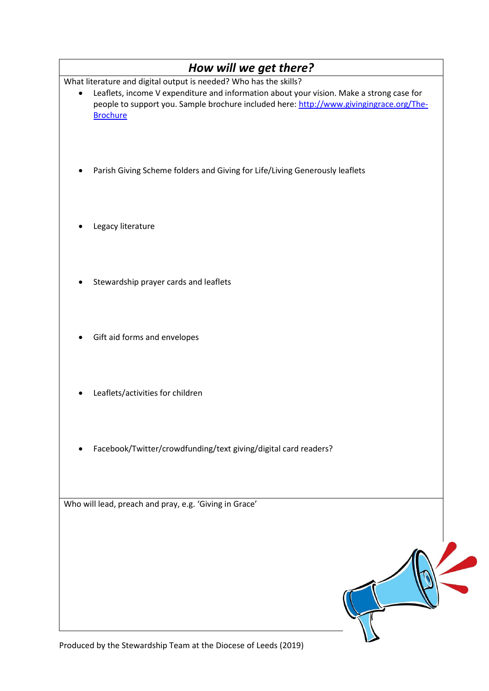|           | How will we get there?                                                                                                                                                                                 |
|-----------|--------------------------------------------------------------------------------------------------------------------------------------------------------------------------------------------------------|
|           | What literature and digital output is needed? Who has the skills?                                                                                                                                      |
| $\bullet$ | Leaflets, income V expenditure and information about your vision. Make a strong case for<br>people to support you. Sample brochure included here: http://www.givingingrace.org/The-<br><b>Brochure</b> |
|           | Parish Giving Scheme folders and Giving for Life/Living Generously leaflets                                                                                                                            |
|           | Legacy literature                                                                                                                                                                                      |
|           | Stewardship prayer cards and leaflets                                                                                                                                                                  |
|           | Gift aid forms and envelopes                                                                                                                                                                           |
|           | Leaflets/activities for children                                                                                                                                                                       |
|           | Facebook/Twitter/crowdfunding/text giving/digital card readers?                                                                                                                                        |
|           | Who will lead, preach and pray, e.g. 'Giving in Grace'                                                                                                                                                 |
|           |                                                                                                                                                                                                        |
|           |                                                                                                                                                                                                        |

Produced by the Stewardship Team at the Diocese of Leeds (2019)